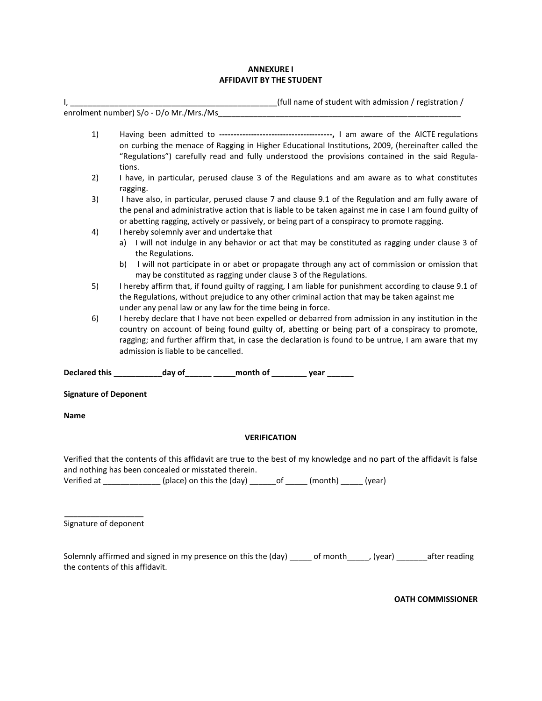## **ANNEXURE I AFFIDAVIT BY THE STUDENT**

I, \_\_\_\_\_\_\_\_\_\_\_\_\_\_\_\_\_\_\_\_\_\_\_\_\_\_\_\_\_\_\_\_\_\_\_\_\_\_\_\_\_\_\_\_\_\_\_(full name of student with admission / registration / enrolment number) S/o - D/o Mr./Mrs./Ms 1) Having been admitted to **---------------------------------------,** I am aware of the AICTE regulations on curbing the menace of Ragging in Higher Educational Institutions, 2009, (hereinafter called the "Regulations") carefully read and fully understood the provisions contained in the said Regulations. 2) I have, in particular, perused clause 3 of the Regulations and am aware as to what constitutes ragging. 3) I have also, in particular, perused clause 7 and clause 9.1 of the Regulation and am fully aware of the penal and administrative action that is liable to be taken against me in case I am found guilty of or abetting ragging, actively or passively, or being part of a conspiracy to promote ragging. 4) I hereby solemnly aver and undertake that a) I will not indulge in any behavior or act that may be constituted as ragging under clause 3 of the Regulations. b) I will not participate in or abet or propagate through any act of commission or omission that may be constituted as ragging under clause 3 of the Regulations. 5) I hereby affirm that, if found guilty of ragging, I am liable for punishment according to clause 9.1 of the Regulations, without prejudice to any other criminal action that may be taken against me under any penal law or any law for the time being in force. 6) I hereby declare that I have not been expelled or debarred from admission in any institution in the country on account of being found guilty of, abetting or being part of a conspiracy to promote, ragging; and further affirm that, in case the declaration is found to be untrue, I am aware that my admission is liable to be cancelled. **Declared this \_\_\_\_\_\_\_\_\_\_\_day of\_\_\_\_\_\_ \_\_\_\_\_month of \_\_\_\_\_\_\_\_ year \_\_\_\_\_\_** 

**Signature of Deponent** 

**Name** 

## **VERIFICATION**

Verified that the contents of this affidavit are true to the best of my knowledge and no part of the affidavit is false and nothing has been concealed or misstated therein.

Verified at \_\_\_\_\_\_\_\_\_\_\_\_\_ (place) on this the (day) \_\_\_\_\_\_of \_\_\_\_\_ (month) \_\_\_\_\_ (year)

\_\_\_\_\_\_\_\_\_\_\_\_\_\_\_\_\_\_ Signature of deponent

Solemnly affirmed and signed in my presence on this the (day) \_\_\_\_ of month\_\_\_\_\_, (year) \_\_\_\_\_\_\_after reading the contents of this affidavit.

**OATH COMMISSIONER**